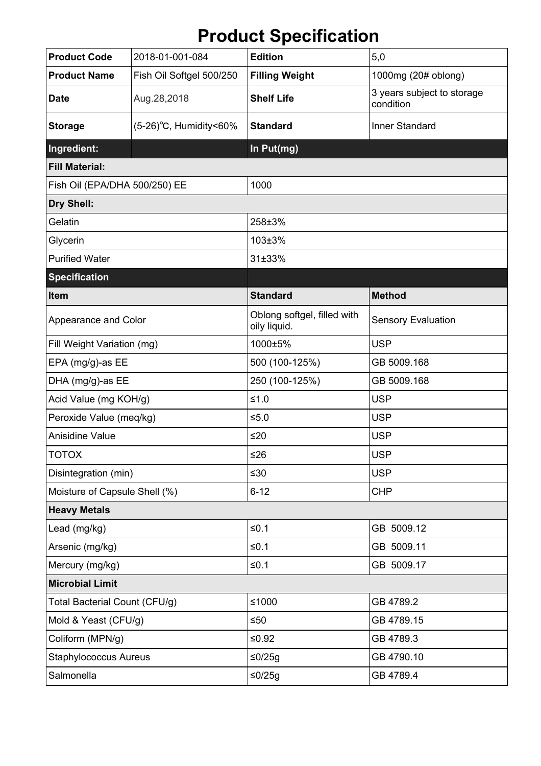## **Product Specification**

| <b>Product Code</b>           | 2018-01-001-084           | <b>Edition</b>                              | 5,0                                     |
|-------------------------------|---------------------------|---------------------------------------------|-----------------------------------------|
| <b>Product Name</b>           | Fish Oil Softgel 500/250  | <b>Filling Weight</b>                       | 1000mg (20# oblong)                     |
| <b>Date</b>                   | Aug.28,2018               | <b>Shelf Life</b>                           | 3 years subject to storage<br>condition |
| <b>Storage</b>                | $(5-26)$ °C, Humidity<60% | <b>Standard</b>                             | Inner Standard                          |
| Ingredient:                   |                           | In Put(mg)                                  |                                         |
| <b>Fill Material:</b>         |                           |                                             |                                         |
| Fish Oil (EPA/DHA 500/250) EE |                           | 1000                                        |                                         |
| Dry Shell:                    |                           |                                             |                                         |
| Gelatin                       |                           | 258±3%                                      |                                         |
| Glycerin                      |                           | 103±3%                                      |                                         |
| <b>Purified Water</b>         |                           | 31±33%                                      |                                         |
| <b>Specification</b>          |                           |                                             |                                         |
| <b>Item</b>                   |                           | <b>Standard</b>                             | <b>Method</b>                           |
| Appearance and Color          |                           | Oblong softgel, filled with<br>oily liquid. | <b>Sensory Evaluation</b>               |
| Fill Weight Variation (mg)    |                           | 1000±5%                                     | <b>USP</b>                              |
| EPA (mg/g)-as EE              |                           | 500 (100-125%)                              | GB 5009.168                             |
| DHA (mg/g)-as EE              |                           | 250 (100-125%)                              | GB 5009.168                             |
| Acid Value (mg KOH/g)         |                           | $≤1.0$                                      | <b>USP</b>                              |
| Peroxide Value (meq/kg)       |                           | $≤5.0$                                      | <b>USP</b>                              |
| <b>Anisidine Value</b>        |                           | ≤20                                         | <b>USP</b>                              |
| <b>TOTOX</b>                  |                           | $≤26$                                       | <b>USP</b>                              |
| Disintegration (min)          |                           | ≤30                                         | <b>USP</b>                              |
| Moisture of Capsule Shell (%) |                           | $6 - 12$                                    | <b>CHP</b>                              |
| <b>Heavy Metals</b>           |                           |                                             |                                         |
| Lead (mg/kg)                  |                           | $≤0.1$                                      | GB 5009.12                              |
| Arsenic (mg/kg)               |                           | $≤0.1$                                      | GB 5009.11                              |
| Mercury (mg/kg)               |                           | $≤0.1$                                      | GB 5009.17                              |
| <b>Microbial Limit</b>        |                           |                                             |                                         |
| Total Bacterial Count (CFU/g) |                           | ≤1000                                       | GB 4789.2                               |
| Mold & Yeast (CFU/g)          |                           | $≤50$                                       | GB 4789.15                              |
| Coliform (MPN/g)              |                           | ≤ $0.92$                                    | GB 4789.3                               |
| <b>Staphylococcus Aureus</b>  |                           | ≤0/25g                                      | GB 4790.10                              |
| Salmonella                    |                           | $≤0/25g$                                    | GB 4789.4                               |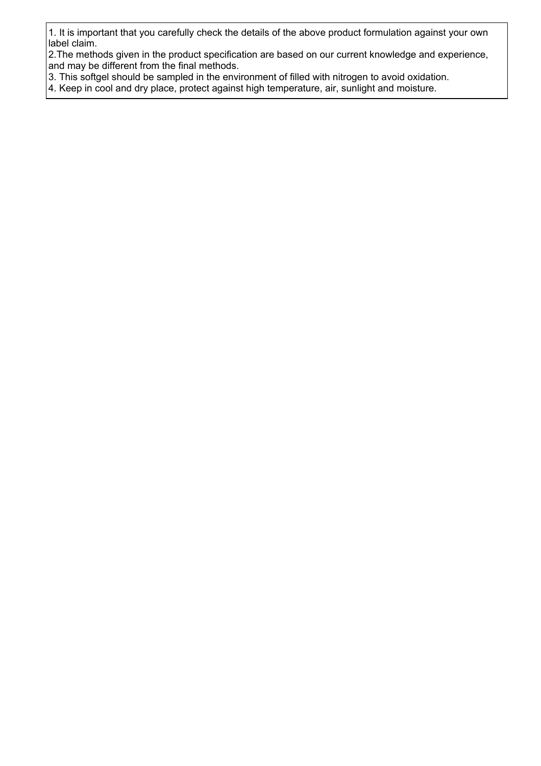1. It is important that you carefully check the details of the above product formulation against your own label claim.

2.The methods given in the product specification are based on our current knowledge and experience, and may be different from the final methods.

3. This softgel should be sampled in the environment of filled with nitrogen to avoid oxidation.

4. Keep in cool and dry place, protect against high temperature, air, sunlight and moisture.